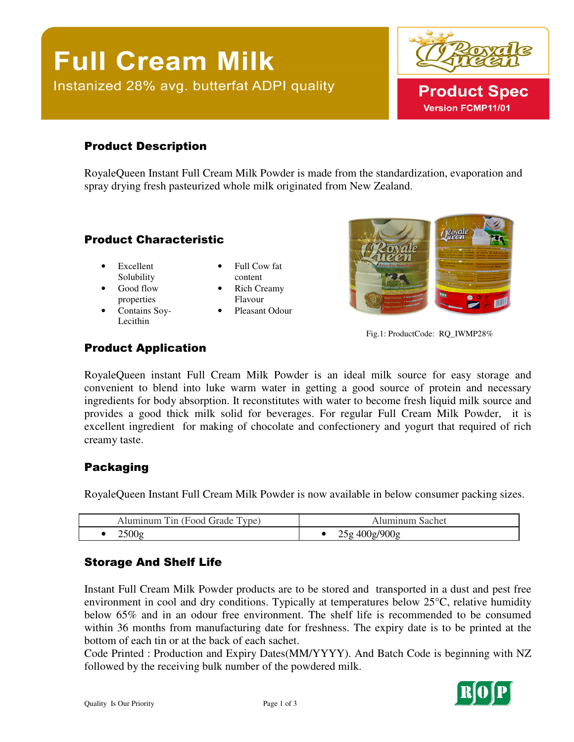# **Full Cream Milk** Instanized 28% avg. butterfat ADPI quality



# Product Description

RoyaleQueen Instant Full Cream Milk Powder is made from the standardization, evaporation and spray drying fresh pasteurized whole milk originated from New Zealand.

## Product Characteristic

- Excellent Solubility
- Good flow properties
- Contains Soy-Lecithin
- Full Cow fat content
- Rich Creamy Flavour
- Pleasant Odour



Fig.1: ProductCode: RQ\_IWMP28%

# Product Application

RoyaleQueen instant Full Cream Milk Powder is an ideal milk source for easy storage and convenient to blend into luke warm water in getting a good source of protein and necessary ingredients for body absorption. It reconstitutes with water to become fresh liquid milk source and provides a good thick milk solid for beverages. For regular Full Cream Milk Powder, it is excellent ingredient for making of chocolate and confectionery and yogurt that required of rich creamy taste.

# Packaging

RoyaleQueen Instant Full Cream Milk Powder is now available in below consumer packing sizes.

| --<br>$\overline{ }$<br><b>vne</b><br>1 n<br>റവ<br>ade | achet<br>\и                                   |
|--------------------------------------------------------|-----------------------------------------------|
| ∩∩>י<br>$-\circ$                                       | $\sqrt{2}$<br>n r<br>$\overline{\phantom{a}}$ |

# Storage And Shelf Life

Instant Full Cream Milk Powder products are to be stored and transported in a dust and pest free environment in cool and dry conditions. Typically at temperatures below 25°C, relative humidity below 65% and in an odour free environment. The shelf life is recommended to be consumed within 36 months from manufacturing date for freshness. The expiry date is to be printed at the bottom of each tin or at the back of each sachet.

Code Printed : Production and Expiry Dates(MM/YYYY). And Batch Code is beginning with NZ followed by the receiving bulk number of the powdered milk.

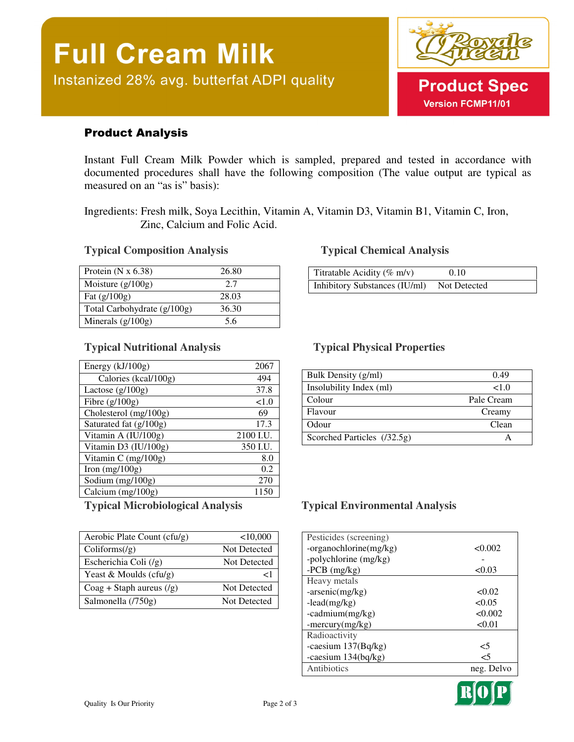

# Product Analysis

Instant Full Cream Milk Powder which is sampled, prepared and tested in accordance with documented procedures shall have the following composition (The value output are typical as measured on an "as is" basis):

Ingredients: Fresh milk, Soya Lecithin, Vitamin A, Vitamin D3, Vitamin B1, Vitamin C, Iron, Zinc, Calcium and Folic Acid.

### **Typical Composition Analysis Typical Chemical Analysis**

| Protein $(N x 6.38)$        | 26.80 |
|-----------------------------|-------|
| Moisture $(g/100g)$         | 2.7   |
| Fat $(g/100g)$              | 28.03 |
| Total Carbohydrate (g/100g) | 36.30 |
| Minerals $(g/100g)$         | 56    |

### **Typical Nutritional Analysis Typical Physical Properties**

| Energy $(kJ/100g)$     | 2067      |
|------------------------|-----------|
| Calories (kcal/100g)   | 494       |
| Lactose $(g/100g)$     | 37.8      |
| Fibre $(g/100g)$       | ${<}1.0$  |
| Cholesterol (mg/100g)  | 69        |
| Saturated fat (g/100g) | 17.3      |
| Vitamin A (IU/100g)    | 2100 I.U. |
| Vitamin D3 (IU/100g)   | 350 I.U.  |
| Vitamin C $(mg/100g)$  | 8.0       |
| Iron $(mg/100g)$       | 0.2       |
| Sodium $(mg/100g)$     | 270       |
| Calcium (mg/100g)      | 1150      |

| Aerobic Plate Count (cfu/g)      | < 10,000            |
|----------------------------------|---------------------|
| Coliforms/(g)                    | Not Detected        |
| Escherichia Coli $(\frac{1}{g})$ | Not Detected        |
| Yeast & Moulds (cfu/g)           | ا >                 |
| $Coag + Staph aureus (g)$        | <b>Not Detected</b> |
| Salmonella (/750g)               | Not Detected        |

| Titratable Acidity ( $\%$ m/v) | 0.10         |  |
|--------------------------------|--------------|--|
| Inhibitory Substances (IU/ml)  | Not Detected |  |

| Bulk Density (g/ml)         | 0.49       |
|-----------------------------|------------|
| Insolubility Index (ml)     | <1.0       |
| Colour                      | Pale Cream |
| Flavour                     | Creamy     |
| Odour                       | Clean      |
| Scorched Particles (/32.5g) |            |

### **Typical Microbiological Analysis Typical Environmental Analysis**

| Pesticides (screening) |            |
|------------------------|------------|
| -organochlorine(mg/kg) | < 0.002    |
| -polychlorine (mg/kg)  |            |
| $-PCB$ (mg/kg)         | < 0.03     |
| Heavy metals           |            |
| $-arsenic(mg/kg)$      | < 0.02     |
| $-lead(mg/kg)$         | < 0.05     |
| $-cadmium(mg/kg)$      | < 0.002    |
| $-mercury(mg/kg)$      | < 0.01     |
| Radioactivity          |            |
| -caesium $137(Bq/kg)$  | <5         |
| -caesium $134(bq/kg)$  | <5         |
| Antibiotics            | neg. Delvo |